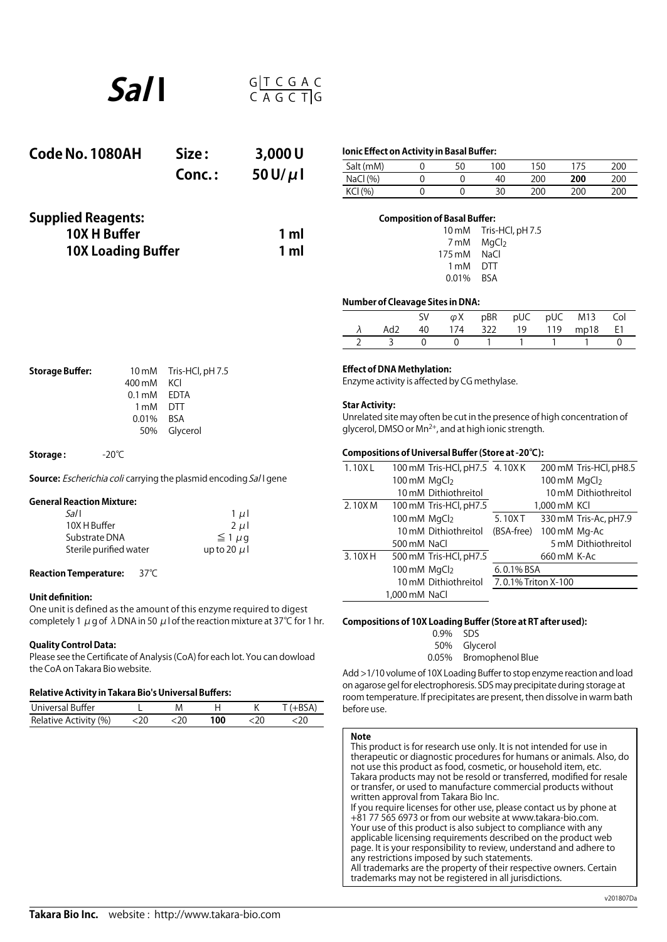

| Code No. 1080AH                                                        | Size:  | 3,000U        | Ionic Effect on Activity in Basal Buffer: |                                     |                                   |                                               |     |     |     |
|------------------------------------------------------------------------|--------|---------------|-------------------------------------------|-------------------------------------|-----------------------------------|-----------------------------------------------|-----|-----|-----|
|                                                                        |        |               | Salt (mM)                                 | 0                                   | 50                                | 100                                           | 150 | 175 | 200 |
|                                                                        | Conc.: | 50 U/ $\mu$ l | NaCl(%)                                   |                                     |                                   | 40                                            | 200 | 200 | 200 |
|                                                                        |        |               | KCI (%)                                   |                                     |                                   | 30                                            | 200 | 200 | 200 |
| <b>Supplied Reagents:</b><br>10X H Buffer<br><b>10X Loading Buffer</b> |        | 1 ml<br>1 ml  |                                           | <b>Composition of Basal Buffer:</b> | $10 \text{ mM}$<br>7 mM<br>175 mM | Tris-HCl, pH 7.5<br>MgCl <sub>2</sub><br>NaCl |     |     |     |

| 111111 11119C12 |  |
|-----------------|--|
| 175 mM NaCl     |  |
| 1 mM DTT        |  |
| 0.01% BSA       |  |
|                 |  |

# **Number of Cleavage Sites in DNA:**

|  |  |  | SV $\varphi X$ pBR pUC pUC M13 Col |  |
|--|--|--|------------------------------------|--|
|  |  |  | Ad2 40 174 322 19 119 mp18 E1      |  |
|  |  |  | $0 \t 1 \t 1 \t 1$                 |  |

| <b>Storage Buffer:</b> |              | 10 mM Tris-HCl, pH 7.5 |  |
|------------------------|--------------|------------------------|--|
|                        | 400 mM KCI   |                        |  |
|                        | 0.1 mM EDTA  |                        |  |
|                        | 1 mM DTT     |                        |  |
|                        | $0.01\%$ BSA |                        |  |
|                        |              | 50% Glycerol           |  |
|                        |              |                        |  |

**Storage :**  -20℃

**Source:** *Escherichia coli* carrying the plasmid encoding Sal I gene

# **General Reaction Mixture:**

| Sal I                  | $1 \mu$        |
|------------------------|----------------|
| 10X H Buffer           | $2 \mu$        |
| Substrate DNA          | $\leq 1 \mu q$ |
| Sterile purified water | up to 20 $\mu$ |
|                        |                |

# **Reaction Temperature:** 37℃

# **Unit definition:**

One unit is defined as the amount of this enzyme required to digest completely 1  $\mu$  g of  $\lambda$  DNA in 50  $\mu$  l of the reaction mixture at 37°C for 1 hr.

### **Quality Control Data:**

Please see the Certificate of Analysis (CoA) for each lot. You can dowload the CoA on Takara Bio website.

# **Relative Activity in Takara Bio's Universal Buffers:**

| Universal Buffer      |  |     |  |
|-----------------------|--|-----|--|
| Relative Activity (%) |  | 100 |  |

# **Effect of DNA Methylation:**

Enzyme activity is affected by CG methylase.

## **Star Activity:**

Unrelated site may often be cutin the presence of high concentration of glycerol, DMSO or Mn2+, and at high ionic strength.

# **Compositions of Universal Buffer (Store at -20℃):**

| 1.10XL |               | 100 mM Tris-HCl, pH7.5 4.10XK |                     |              | 200 mM Tris-HCl, pH8.5 |
|--------|---------------|-------------------------------|---------------------|--------------|------------------------|
|        | 100 mM MgCl2  |                               |                     | 100 mM MgCl2 |                        |
|        |               | 10 mM Dithiothreitol          |                     |              | 10 mM Dithiothreitol   |
| 2.10XM |               | 100 mM Tris-HCl, pH7.5        |                     | 1,000 mM KCI |                        |
|        | 100 mM MgCl2  |                               | 5.10XT              |              | 330 mM Tris-Ac, pH7.9  |
|        |               | 10 mM Dithiothreitol          | (BSA-free)          | 100 mM Mg-Ac |                        |
|        | 500 mM NaCl   |                               |                     |              | 5 mM Dithiothreitol    |
| 3.10XH |               | 500 mM Tris-HCl, pH7.5        |                     | 660 mM K-Ac  |                        |
|        | 100 mM MgCl2  |                               | 6.0.1% BSA          |              |                        |
|        |               | 10 mM Dithiothreitol          | 7.0.1% Triton X-100 |              |                        |
|        | 1,000 mM NaCl |                               |                     |              |                        |
|        |               |                               |                     |              |                        |

# **Compositions of 10X Loading Buffer (Store at RT after used):**

| $0.9\%$ SDS |                        |
|-------------|------------------------|
|             | 50% Glycerol           |
|             | 0.05% Bromophenol Blue |
|             |                        |

Add>1/10 volume of 10X Loading Bufferto stop enzyme reaction and load on agarose gelfor electrophoresis. SDS may precipitate during storage at room temperature. If precipitates are present, then dissolve in warm bath before use.

#### **Note**

This product is for research use only. It is not intended for use in therapeutic or diagnostic procedures for humans or animals. Also, do not use this product as food, cosmetic, or household item, etc. Takara products may not be resold or transferred, modified for resale or transfer, or used to manufacture commercial products without written approval from Takara Bio Inc. If you require licenses for other use, please contact us by phone at +81 77 565 6973 or from our website at www.takara-bio.com. Your use of this product is also subject to compliance with any applicable licensing requirements described on the product web page. It is your responsibility to review, understand and adhere to any restrictions imposed by such statements. All trademarks are the property of their respective owners. Certain trademarks may not be registered in all jurisdictions.